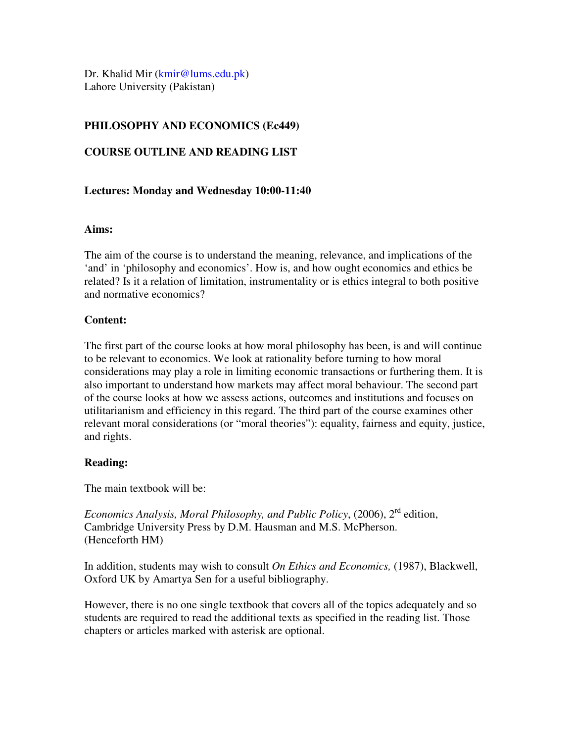Dr. Khalid Mir (kmir@lums.edu.pk) Lahore University (Pakistan)

# **PHILOSOPHY AND ECONOMICS (Ec449)**

### **COURSE OUTLINE AND READING LIST**

### **Lectures: Monday and Wednesday 10:00-11:40**

#### **Aims:**

The aim of the course is to understand the meaning, relevance, and implications of the 'and' in 'philosophy and economics'. How is, and how ought economics and ethics be related? Is it a relation of limitation, instrumentality or is ethics integral to both positive and normative economics?

#### **Content:**

The first part of the course looks at how moral philosophy has been, is and will continue to be relevant to economics. We look at rationality before turning to how moral considerations may play a role in limiting economic transactions or furthering them. It is also important to understand how markets may affect moral behaviour. The second part of the course looks at how we assess actions, outcomes and institutions and focuses on utilitarianism and efficiency in this regard. The third part of the course examines other relevant moral considerations (or "moral theories"): equality, fairness and equity, justice, and rights.

#### **Reading:**

The main textbook will be:

*Economics Analysis, Moral Philosophy, and Public Policy*, (2006), 2rd edition, Cambridge University Press by D.M. Hausman and M.S. McPherson. (Henceforth HM)

In addition, students may wish to consult *On Ethics and Economics,* (1987), Blackwell, Oxford UK by Amartya Sen for a useful bibliography.

However, there is no one single textbook that covers all of the topics adequately and so students are required to read the additional texts as specified in the reading list. Those chapters or articles marked with asterisk are optional.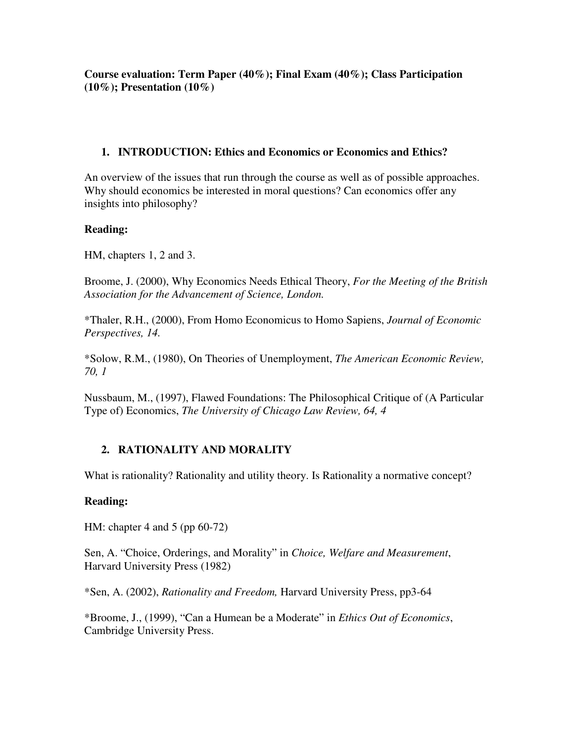**Course evaluation: Term Paper (40%); Final Exam (40%); Class Participation (10%); Presentation (10%)**

### **1. INTRODUCTION: Ethics and Economics or Economics and Ethics?**

An overview of the issues that run through the course as well as of possible approaches. Why should economics be interested in moral questions? Can economics offer any insights into philosophy?

### **Reading:**

HM, chapters 1, 2 and 3.

Broome, J. (2000), Why Economics Needs Ethical Theory, *For the Meeting of the British Association for the Advancement of Science, London.*

\*Thaler, R.H., (2000), From Homo Economicus to Homo Sapiens, *Journal of Economic Perspectives, 14.* 

\*Solow, R.M., (1980), On Theories of Unemployment, *The American Economic Review, 70, 1* 

Nussbaum, M., (1997), Flawed Foundations: The Philosophical Critique of (A Particular Type of) Economics, *The University of Chicago Law Review, 64, 4*

# **2. RATIONALITY AND MORALITY**

What is rationality? Rationality and utility theory. Is Rationality a normative concept?

#### **Reading:**

HM: chapter 4 and 5 (pp 60-72)

Sen, A. "Choice, Orderings, and Morality" in *Choice, Welfare and Measurement*, Harvard University Press (1982)

\*Sen, A. (2002), *Rationality and Freedom,* Harvard University Press, pp3-64

\*Broome, J., (1999), "Can a Humean be a Moderate" in *Ethics Out of Economics*, Cambridge University Press.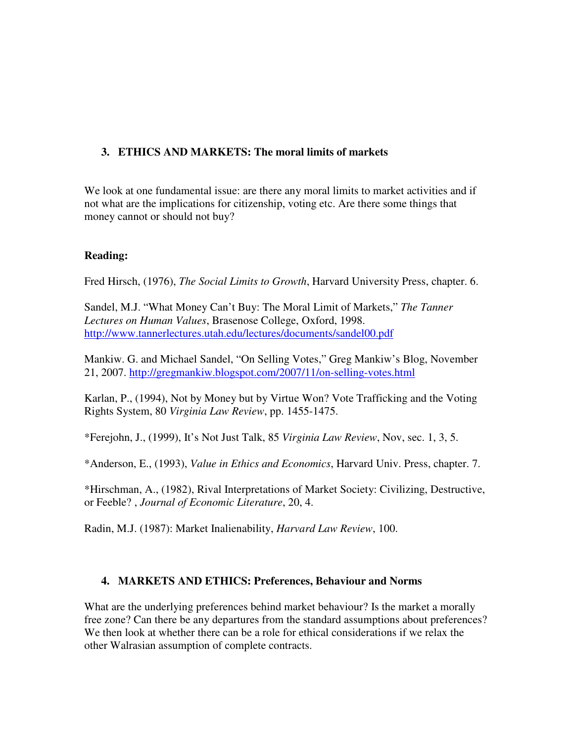# **3. ETHICS AND MARKETS: The moral limits of markets**

We look at one fundamental issue: are there any moral limits to market activities and if not what are the implications for citizenship, voting etc. Are there some things that money cannot or should not buy?

# **Reading:**

Fred Hirsch, (1976), *The Social Limits to Growth*, Harvard University Press, chapter. 6.

Sandel, M.J. "What Money Can't Buy: The Moral Limit of Markets," *The Tanner Lectures on Human Values*, Brasenose College, Oxford, 1998. http://www.tannerlectures.utah.edu/lectures/documents/sandel00.pdf

Mankiw. G. and Michael Sandel, "On Selling Votes," Greg Mankiw's Blog, November 21, 2007. http://gregmankiw.blogspot.com/2007/11/on-selling-votes.html

Karlan, P., (1994), Not by Money but by Virtue Won? Vote Trafficking and the Voting Rights System, 80 *Virginia Law Review*, pp. 1455-1475.

\*Ferejohn, J., (1999), It's Not Just Talk, 85 *Virginia Law Review*, Nov, sec. 1, 3, 5.

\*Anderson, E., (1993), *Value in Ethics and Economics*, Harvard Univ. Press, chapter. 7.

\*Hirschman, A., (1982), Rival Interpretations of Market Society: Civilizing, Destructive, or Feeble? , *Journal of Economic Literature*, 20, 4.

Radin, M.J. (1987): Market Inalienability, *Harvard Law Review*, 100.

### **4. MARKETS AND ETHICS: Preferences, Behaviour and Norms**

What are the underlying preferences behind market behaviour? Is the market a morally free zone? Can there be any departures from the standard assumptions about preferences? We then look at whether there can be a role for ethical considerations if we relax the other Walrasian assumption of complete contracts.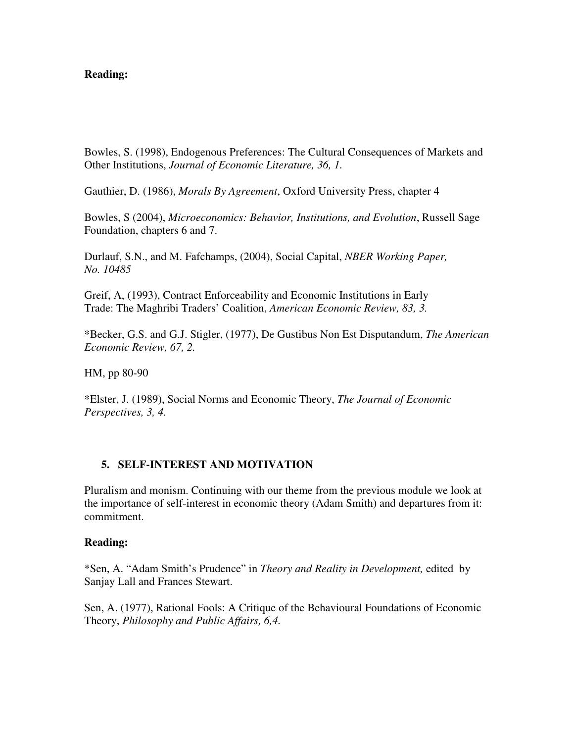#### **Reading:**

Bowles, S. (1998), Endogenous Preferences: The Cultural Consequences of Markets and Other Institutions, *Journal of Economic Literature, 36, 1.* 

Gauthier, D. (1986), *Morals By Agreement*, Oxford University Press, chapter 4

Bowles, S (2004), *Microeconomics: Behavior, Institutions, and Evolution*, Russell Sage Foundation, chapters 6 and 7.

Durlauf, S.N., and M. Fafchamps, (2004), Social Capital, *NBER Working Paper, No. 10485* 

Greif, A, (1993), Contract Enforceability and Economic Institutions in Early Trade: The Maghribi Traders' Coalition, *American Economic Review, 83, 3.* 

\*Becker, G.S. and G.J. Stigler, (1977), De Gustibus Non Est Disputandum, *The American Economic Review, 67, 2.* 

HM, pp 80-90

\*Elster, J. (1989), Social Norms and Economic Theory, *The Journal of Economic Perspectives, 3, 4.* 

### **5. SELF-INTEREST AND MOTIVATION**

Pluralism and monism. Continuing with our theme from the previous module we look at the importance of self-interest in economic theory (Adam Smith) and departures from it: commitment.

#### **Reading:**

\*Sen, A. "Adam Smith's Prudence" in *Theory and Reality in Development,* edited by Sanjay Lall and Frances Stewart.

Sen, A. (1977), Rational Fools: A Critique of the Behavioural Foundations of Economic Theory, *Philosophy and Public Affairs, 6,4.*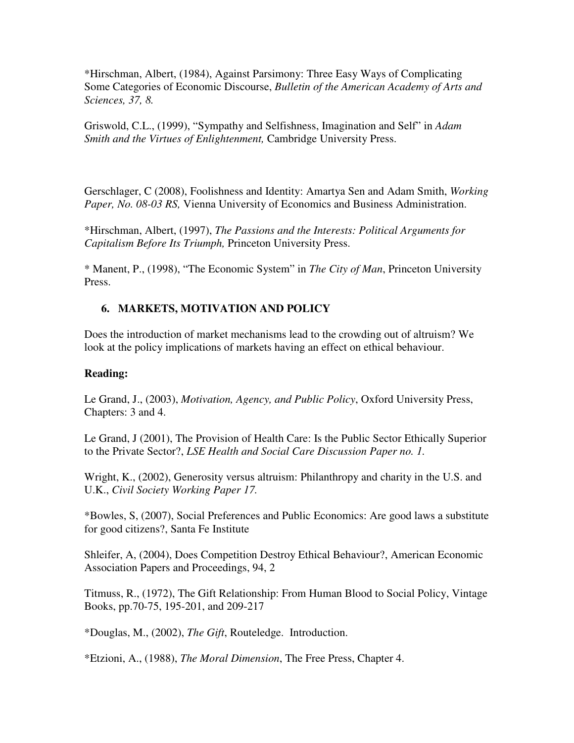\*Hirschman, Albert, (1984), Against Parsimony: Three Easy Ways of Complicating Some Categories of Economic Discourse, *Bulletin of the American Academy of Arts and Sciences, 37, 8.* 

Griswold, C.L., (1999), "Sympathy and Selfishness, Imagination and Self" in *Adam Smith and the Virtues of Enlightenment,* Cambridge University Press.

Gerschlager, C (2008), Foolishness and Identity: Amartya Sen and Adam Smith, *Working Paper, No. 08-03 RS,* Vienna University of Economics and Business Administration.

\*Hirschman, Albert, (1997), *The Passions and the Interests: Political Arguments for Capitalism Before Its Triumph,* Princeton University Press.

\* Manent, P., (1998), "The Economic System" in *The City of Man*, Princeton University Press.

### **6. MARKETS, MOTIVATION AND POLICY**

Does the introduction of market mechanisms lead to the crowding out of altruism? We look at the policy implications of markets having an effect on ethical behaviour.

#### **Reading:**

Le Grand, J., (2003), *Motivation, Agency, and Public Policy*, Oxford University Press, Chapters: 3 and 4.

Le Grand, J (2001), The Provision of Health Care: Is the Public Sector Ethically Superior to the Private Sector?, *LSE Health and Social Care Discussion Paper no. 1.* 

Wright, K., (2002), Generosity versus altruism: Philanthropy and charity in the U.S. and U.K., *Civil Society Working Paper 17.* 

\*Bowles, S, (2007), Social Preferences and Public Economics: Are good laws a substitute for good citizens?, Santa Fe Institute

Shleifer, A, (2004), Does Competition Destroy Ethical Behaviour?, American Economic Association Papers and Proceedings, 94, 2

Titmuss, R., (1972), The Gift Relationship: From Human Blood to Social Policy, Vintage Books, pp.70-75, 195-201, and 209-217

\*Douglas, M., (2002), *The Gift*, Routeledge. Introduction.

\*Etzioni, A., (1988), *The Moral Dimension*, The Free Press, Chapter 4.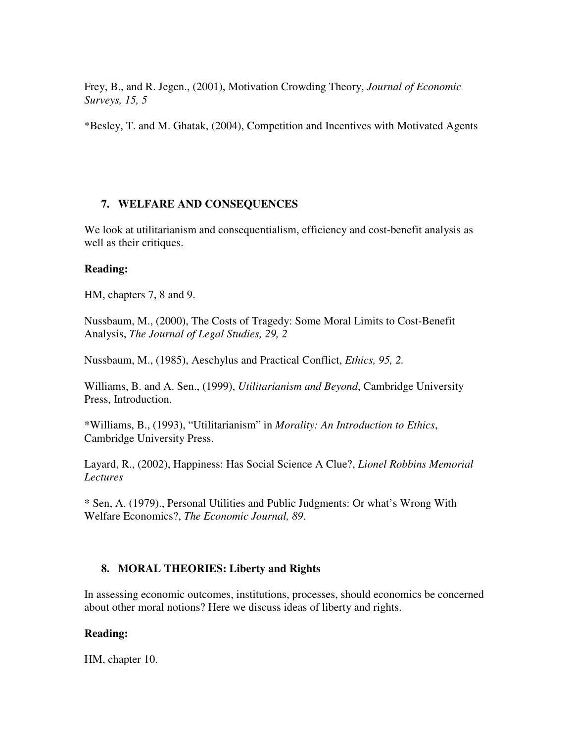Frey, B., and R. Jegen., (2001), Motivation Crowding Theory, *Journal of Economic Surveys, 15, 5* 

\*Besley, T. and M. Ghatak, (2004), Competition and Incentives with Motivated Agents

### **7. WELFARE AND CONSEQUENCES**

We look at utilitarianism and consequentialism, efficiency and cost-benefit analysis as well as their critiques.

#### **Reading:**

HM, chapters 7, 8 and 9.

Nussbaum, M., (2000), The Costs of Tragedy: Some Moral Limits to Cost-Benefit Analysis, *The Journal of Legal Studies, 29, 2* 

Nussbaum, M., (1985), Aeschylus and Practical Conflict, *Ethics, 95, 2.* 

Williams, B. and A. Sen., (1999), *Utilitarianism and Beyond*, Cambridge University Press, Introduction.

\*Williams, B., (1993), "Utilitarianism" in *Morality: An Introduction to Ethics*, Cambridge University Press.

Layard, R., (2002), Happiness: Has Social Science A Clue?, *Lionel Robbins Memorial Lectures* 

\* Sen, A. (1979)., Personal Utilities and Public Judgments: Or what's Wrong With Welfare Economics?, *The Economic Journal, 89*.

#### **8. MORAL THEORIES: Liberty and Rights**

In assessing economic outcomes, institutions, processes, should economics be concerned about other moral notions? Here we discuss ideas of liberty and rights.

#### **Reading:**

HM, chapter 10.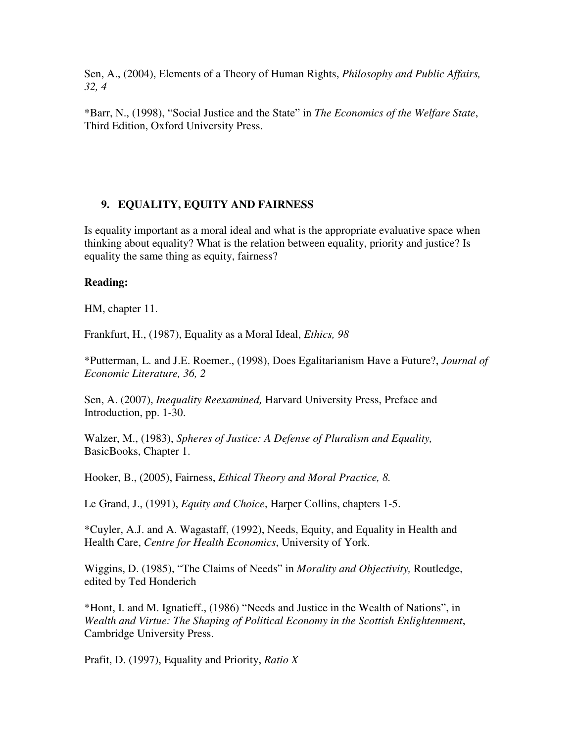Sen, A., (2004), Elements of a Theory of Human Rights, *Philosophy and Public Affairs, 32, 4* 

\*Barr, N., (1998), "Social Justice and the State" in *The Economics of the Welfare State*, Third Edition, Oxford University Press.

# **9. EQUALITY, EQUITY AND FAIRNESS**

Is equality important as a moral ideal and what is the appropriate evaluative space when thinking about equality? What is the relation between equality, priority and justice? Is equality the same thing as equity, fairness?

### **Reading:**

HM, chapter 11.

Frankfurt, H., (1987), Equality as a Moral Ideal, *Ethics, 98*

\*Putterman, L. and J.E. Roemer., (1998), Does Egalitarianism Have a Future?, *Journal of Economic Literature, 36, 2* 

Sen, A. (2007), *Inequality Reexamined,* Harvard University Press, Preface and Introduction, pp. 1-30.

Walzer, M., (1983), *Spheres of Justice: A Defense of Pluralism and Equality,*  BasicBooks, Chapter 1.

Hooker, B., (2005), Fairness, *Ethical Theory and Moral Practice, 8.*

Le Grand, J., (1991), *Equity and Choice*, Harper Collins, chapters 1-5.

\*Cuyler, A.J. and A. Wagastaff, (1992), Needs, Equity, and Equality in Health and Health Care, *Centre for Health Economics*, University of York.

Wiggins, D. (1985), "The Claims of Needs" in *Morality and Objectivity,* Routledge, edited by Ted Honderich

\*Hont, I. and M. Ignatieff., (1986) "Needs and Justice in the Wealth of Nations", in *Wealth and Virtue: The Shaping of Political Economy in the Scottish Enlightenment*, Cambridge University Press.

Prafit, D. (1997), Equality and Priority, *Ratio X*